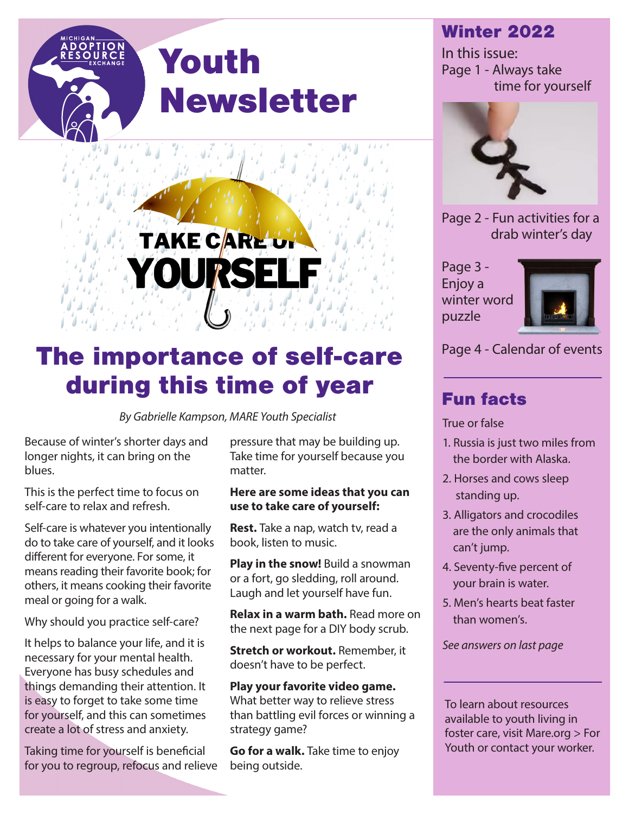#### Winter 2022

In this issue: Page 1 - Always take time for yourself



Page 2 - Fun activities for a drab winter's day

Page 3 - Enjoy a winter word puzzle



#### Fun facts

True or false

- 1. Russia is just two miles from the border with Alaska.
- 2. Horses and cows sleep standing up.
- 3. Alligators and crocodiles are the only animals that can't jump.
- 4. Seventy-five percent of your brain is water.
- 5. Men's hearts beat faster than women's.

*See answers on last page*

To learn about resources available to youth living in foster care, visit Mare.org > For Youth or contact your worker.

# **TAKE CARE UT** YOURS

Youth

Newsletter

### The importance of self-care Page 4 - Calendar of events during this time of year

*By Gabrielle Kampson, MARE Youth Specialist*

Because of winter's shorter days and longer nights, it can bring on the blues.

This is the perfect time to focus on self-care to relax and refresh.

Self-care is whatever you intentionally do to take care of yourself, and it looks different for everyone. For some, it means reading their favorite book; for others, it means cooking their favorite meal or going for a walk.

Why should you practice self-care?

It helps to balance your life, and it is necessary for your mental health. Everyone has busy schedules and things demanding their attention. It is easy to forget to take some time for yourself, and this can sometimes create a lot of stress and anxiety.

Taking time for yourself is beneficial for you to regroup, refocus and relieve

pressure that may be building up. Take time for yourself because you matter.

#### **Here are some ideas that you can use to take care of yourself:**

**Rest.** Take a nap, watch tv, read a book, listen to music.

**Play in the snow!** Build a snowman or a fort, go sledding, roll around. Laugh and let yourself have fun.

**Relax in a warm bath.** Read more on the next page for a DIY body scrub.

**Stretch or workout.** Remember, it doesn't have to be perfect.

#### **Play your favorite video game.**  What better way to relieve stress than battling evil forces or winning a strategy game?

**Go for a walk.** Take time to enjoy being outside.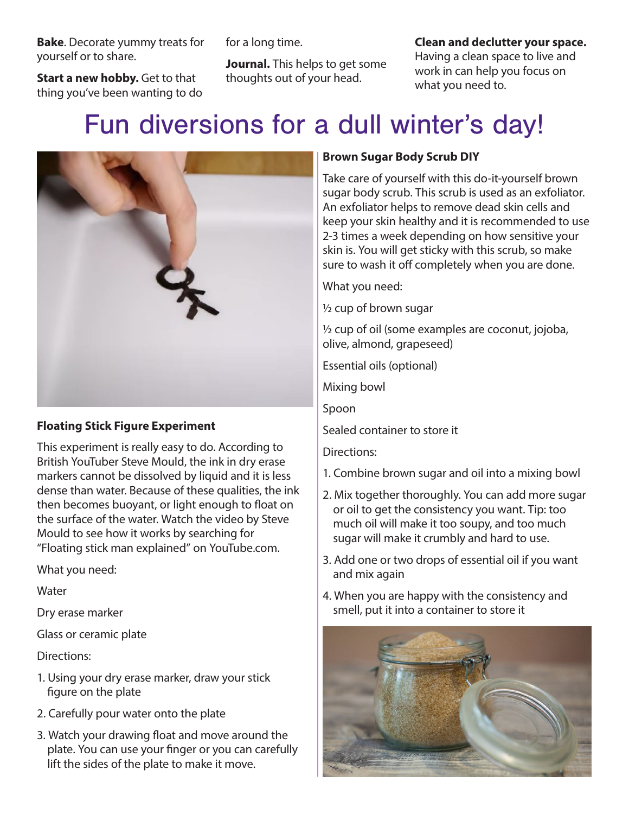**Bake**. Decorate yummy treats for yourself or to share.

**Start a new hobby.** Get to that thing you've been wanting to do for a long time.

**Journal.** This helps to get some thoughts out of your head.

**Clean and declutter your space.** 

Having a clean space to live and work in can help you focus on what you need to.

## Fun diversions for a dull winter's day!



#### **Floating Stick Figure Experiment**

This experiment is really easy to do. According to British YouTuber Steve Mould, the ink in dry erase markers cannot be dissolved by liquid and it is less dense than water. Because of these qualities, the ink then becomes buoyant, or light enough to float on the surface of the water. Watch the video by Steve Mould to see how it works by searching for "Floating stick man explained" on YouTube.com.

What you need:

**Water** 

Dry erase marker

Glass or ceramic plate

Directions:

- 1. Using your dry erase marker, draw your stick figure on the plate
- 2. Carefully pour water onto the plate
- 3. Watch your drawing float and move around the plate. You can use your finger or you can carefully lift the sides of the plate to make it move.

#### **Brown Sugar Body Scrub DIY**

Take care of yourself with this do-it-yourself brown sugar body scrub. This scrub is used as an exfoliator. An exfoliator helps to remove dead skin cells and keep your skin healthy and it is recommended to use 2-3 times a week depending on how sensitive your skin is. You will get sticky with this scrub, so make sure to wash it off completely when you are done.

What you need:

½ cup of brown sugar

½ cup of oil (some examples are coconut, jojoba, olive, almond, grapeseed)

Essential oils (optional)

Mixing bowl

Spoon

Sealed container to store it

Directions:

- 1. Combine brown sugar and oil into a mixing bowl
- 2. Mix together thoroughly. You can add more sugar or oil to get the consistency you want. Tip: too much oil will make it too soupy, and too much sugar will make it crumbly and hard to use.
- 3. Add one or two drops of essential oil if you want and mix again
- 4. When you are happy with the consistency and smell, put it into a container to store it

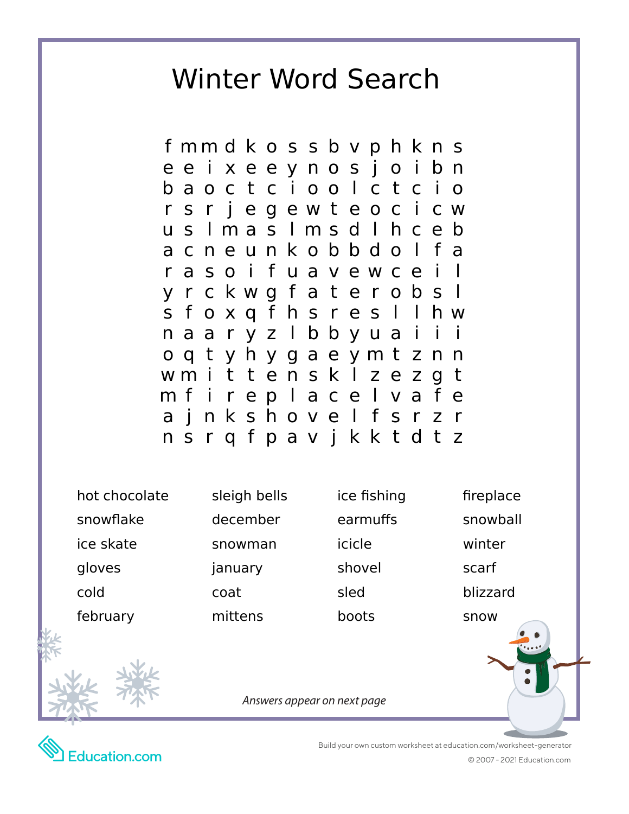### Winter Word Search

f mm d k o s s b v p h k n s ee i xeeynos j o i bn baoctc i oo l ctc i o r s r j egewt eoc i cw u s l ma s l ms d l h c e b acneunkobbdo l fa r a so i f u a v e w c e y r c kwg f a t e r obs l s f oxq f hs r es l l hw naaryz I bbyuai o q t y h y g a e y m t z n n wm i t t e n s k l z e z g t mf i rep l ace l va f e a j nkshove l f srzr nsrqfpav j kktdt z

hot chocolate sleigh bells ice fishing fireplace snowflake december earmuffs snowball ice skate snowman icicle winter gloves january shovel scarf cold coat sled blizzard

february mittens boots snow

*Answers appear on next page*



 Build your own custom worksheet at education.com/worksheet-generator © 2007 - 2021 Education.com